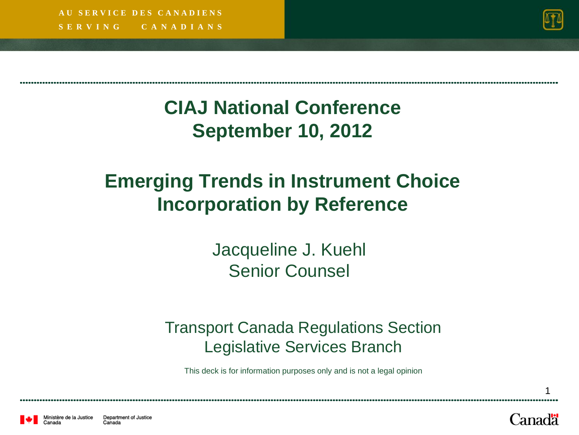**S E R V I N G C A N A D I A N S A U S E R V I C E D E S C A N A D I E N S**



#### **CIAJ National Conference September 10, 2012**

#### **Emerging Trends in Instrument Choice Incorporation by Reference**

Jacqueline J. Kuehl Senior Counsel

#### Transport Canada Regulations Section Legislative Services Branch

This deck is for information purposes only and is not a legal opinion

Canadä

1



Department of Justice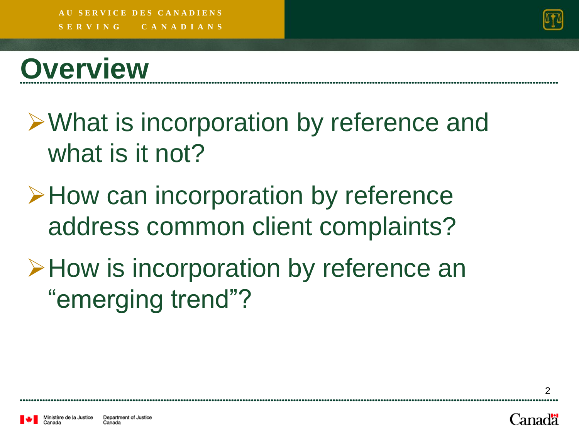

# **Overview**

- What is incorporation by reference and what is it not?
- **≻How can incorporation by reference** address common client complaints?
- A How is incorporation by reference an "emerging trend"?

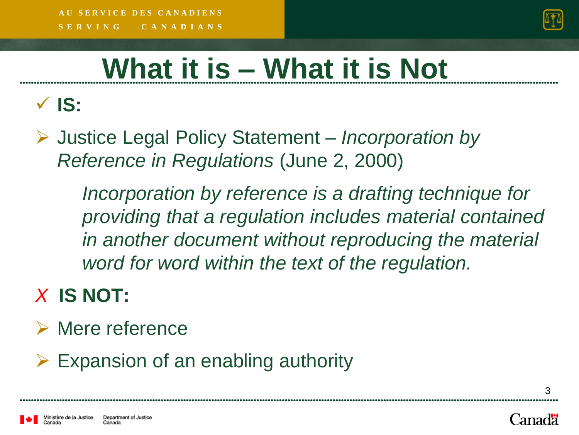

# **What it is – What it is Not**

**IS:**

 Justice Legal Policy Statement – *Incorporation by Reference in Regulations* (June 2, 2000)

> *Incorporation by reference is a drafting technique for providing that a regulation includes material contained in another document without reproducing the material word for word within the text of the regulation.*

#### *X* **IS NOT:**

- **► Mere reference**
- $\triangleright$  Expansion of an enabling authority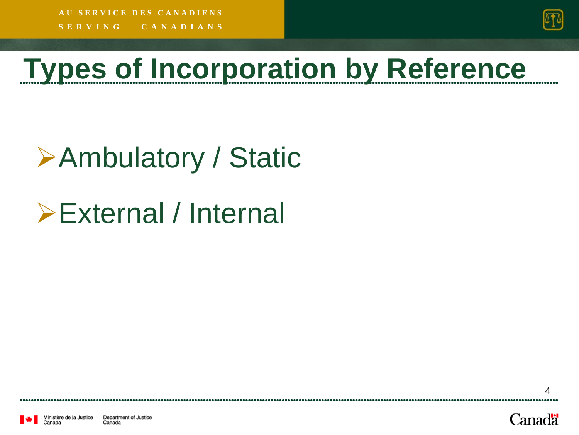**S E R V I N G C A N A D I A N S A U S E R V I C E D E S C A N A D I E N S**



# **Types of Incorporation by Reference**

# Ambulatory / Static

External / Internal



Department of Justice Ainistère de la Justice Canada Canada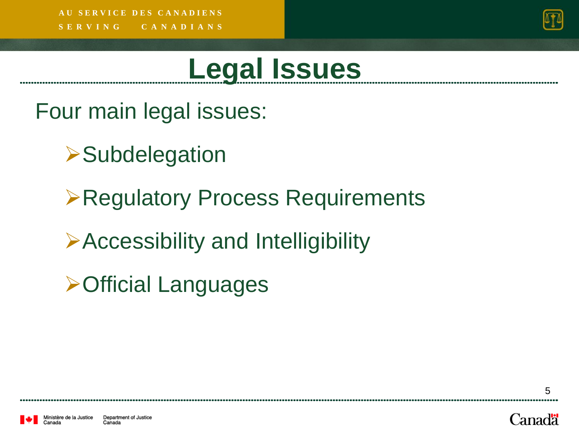

# **Legal Issues**

Four main legal issues:

- **>Subdelegation**
- Regulatory Process Requirements
- Accessibility and Intelligibility
- **≻Official Languages**

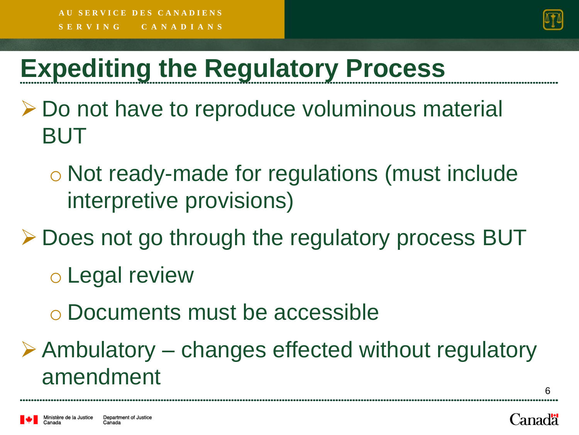

# **Expediting the Regulatory Process**

- **≻** Do not have to reproduce voluminous material BUT
	- o Not ready-made for regulations (must include interpretive provisions)
- **≻ Does not go through the regulatory process BUT** 
	- o Legal review
	- o Documents must be accessible
- $\triangleright$  Ambulatory changes effected without regulatory amendment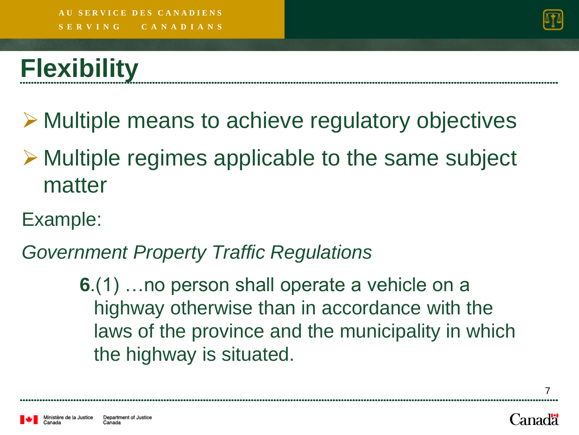

# **Flexibility**

**► Multiple means to achieve regulatory objectives** 

- **► Multiple regimes applicable to the same subject** matter
- Example:

*Government Property Traffic Regulations*

**6**.(1) …no person shall operate a vehicle on a highway otherwise than in accordance with the laws of the province and the municipality in which the highway is situated.

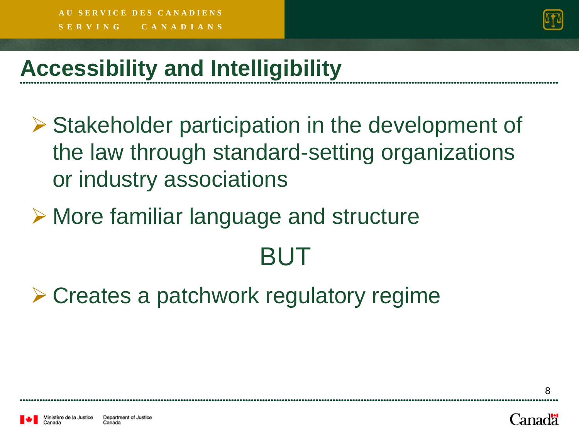

#### **Accessibility and Intelligibility**

- **► Stakeholder participation in the development of** the law through standard-setting organizations or industry associations
- **► More familiar language and structure BUT**
- **≻ Creates a patchwork regulatory regime**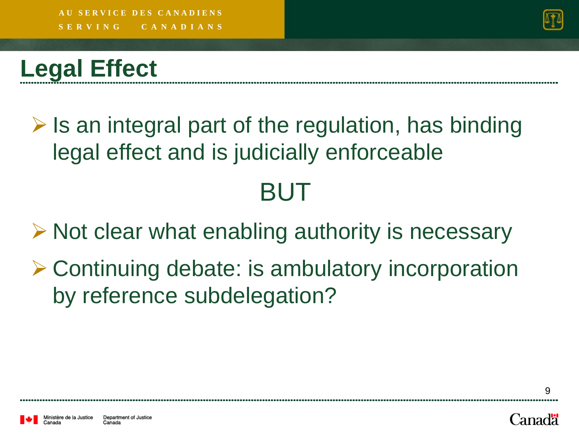

#### **Legal Effect**

 $\triangleright$  Is an integral part of the regulation, has binding legal effect and is judicially enforceable

### BUT

 $\triangleright$  Not clear what enabling authority is necessary

**≻ Continuing debate: is ambulatory incorporation** by reference subdelegation?

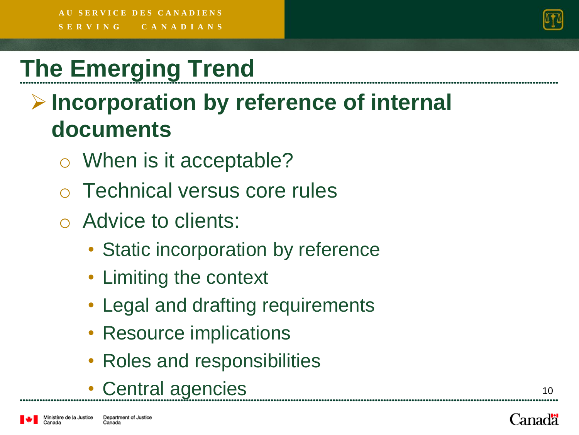

### **The Emerging Trend**

#### **Incorporation by reference of internal documents**

- o When is it acceptable?
- Technical versus core rules
- o Advice to clients:
	- Static incorporation by reference
	- Limiting the context
	- Legal and drafting requirements
	- Resource implications
	- Roles and responsibilities
	- Central agencies

linistère de la Justice

Canadä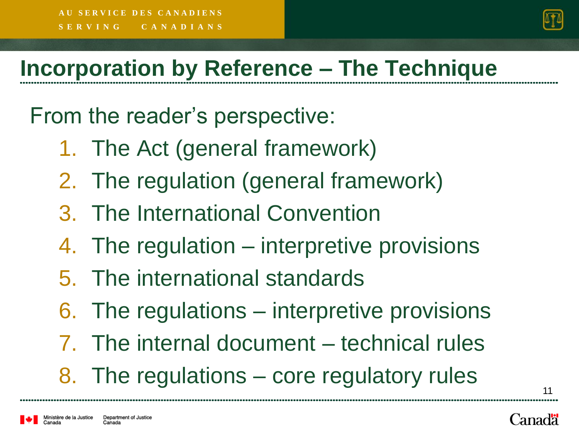

11

Canadä

#### **Incorporation by Reference – The Technique**

From the reader's perspective:

- 1. The Act (general framework)
- 2. The regulation (general framework)
- 3. The International Convention
- 4. The regulation interpretive provisions
- 5. The international standards
- 6. The regulations interpretive provisions
- 7. The internal document technical rules 8. The regulations – core regulatory rules